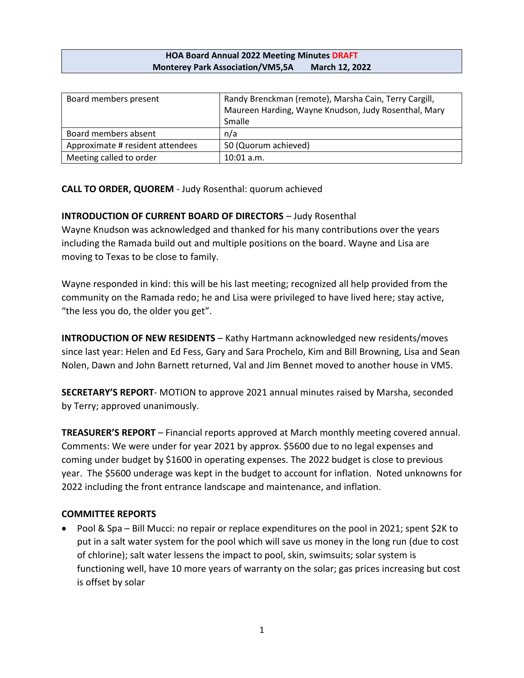## **HOA Board Annual 2022 Meeting Minutes DRAFT Monterey Park Association/VM5,5A March 12, 2022**

| Board members present            | Randy Brenckman (remote), Marsha Cain, Terry Cargill, |
|----------------------------------|-------------------------------------------------------|
|                                  | Maureen Harding, Wayne Knudson, Judy Rosenthal, Mary  |
|                                  | Smalle                                                |
| Board members absent             | n/a                                                   |
| Approximate # resident attendees | 50 (Quorum achieved)                                  |
| Meeting called to order          | $10:01$ a.m.                                          |

**CALL TO ORDER, QUOREM** - Judy Rosenthal: quorum achieved

## **INTRODUCTION OF CURRENT BOARD OF DIRECTORS - Judy Rosenthal**

Wayne Knudson was acknowledged and thanked for his many contributions over the years including the Ramada build out and multiple positions on the board. Wayne and Lisa are moving to Texas to be close to family.

Wayne responded in kind: this will be his last meeting; recognized all help provided from the community on the Ramada redo; he and Lisa were privileged to have lived here; stay active, "the less you do, the older you get".

**INTRODUCTION OF NEW RESIDENTS** - Kathy Hartmann acknowledged new residents/moves since last year: Helen and Ed Fess, Gary and Sara Prochelo, Kim and Bill Browning, Lisa and Sean Nolen, Dawn and John Barnett returned, Val and Jim Bennet moved to another house in VM5.

**SECRETARY'S REPORT**- MOTION to approve 2021 annual minutes raised by Marsha, seconded by Terry; approved unanimously.

**TREASURER'S REPORT** – Financial reports approved at March monthly meeting covered annual. Comments: We were under for year 2021 by approx. \$5600 due to no legal expenses and coming under budget by \$1600 in operating expenses. The 2022 budget is close to previous year. The \$5600 underage was kept in the budget to account for inflation. Noted unknowns for 2022 including the front entrance landscape and maintenance, and inflation.

## **COMMITTEE REPORTS**

• Pool & Spa – Bill Mucci: no repair or replace expenditures on the pool in 2021; spent \$2K to put in a salt water system for the pool which will save us money in the long run (due to cost of chlorine); salt water lessens the impact to pool, skin, swimsuits; solar system is functioning well, have 10 more years of warranty on the solar; gas prices increasing but cost is offset by solar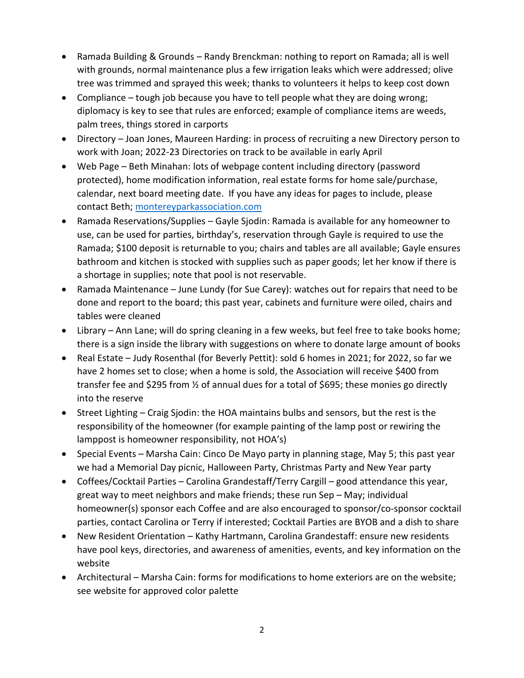- Ramada Building & Grounds Randy Brenckman: nothing to report on Ramada; all is well with grounds, normal maintenance plus a few irrigation leaks which were addressed; olive tree was trimmed and sprayed this week; thanks to volunteers it helps to keep cost down
- Compliance tough job because you have to tell people what they are doing wrong; diplomacy is key to see that rules are enforced; example of compliance items are weeds, palm trees, things stored in carports
- Directory Joan Jones, Maureen Harding: in process of recruiting a new Directory person to work with Joan; 2022-23 Directories on track to be available in early April
- Web Page Beth Minahan: lots of webpage content including directory (password protected), home modification information, real estate forms for home sale/purchase, calendar, next board meeting date. If you have any ideas for pages to include, please contact Beth;<montereyparkassociation.com>
- Ramada Reservations/Supplies Gayle Sjodin: Ramada is available for any homeowner to use, can be used for parties, birthday's, reservation through Gayle is required to use the Ramada; \$100 deposit is returnable to you; chairs and tables are all available; Gayle ensures bathroom and kitchen is stocked with supplies such as paper goods; let her know if there is a shortage in supplies; note that pool is not reservable.
- Ramada Maintenance June Lundy (for Sue Carey): watches out for repairs that need to be done and report to the board; this past year, cabinets and furniture were oiled, chairs and tables were cleaned
- Library Ann Lane; will do spring cleaning in a few weeks, but feel free to take books home; there is a sign inside the library with suggestions on where to donate large amount of books
- Real Estate Judy Rosenthal (for Beverly Pettit): sold 6 homes in 2021; for 2022, so far we have 2 homes set to close; when a home is sold, the Association will receive \$400 from transfer fee and \$295 from ½ of annual dues for a total of \$695; these monies go directly into the reserve
- Street Lighting Craig Sjodin: the HOA maintains bulbs and sensors, but the rest is the responsibility of the homeowner (for example painting of the lamp post or rewiring the lamppost is homeowner responsibility, not HOA's)
- Special Events Marsha Cain: Cinco De Mayo party in planning stage, May 5; this past year we had a Memorial Day picnic, Halloween Party, Christmas Party and New Year party
- Coffees/Cocktail Parties Carolina Grandestaff/Terry Cargill good attendance this year, great way to meet neighbors and make friends; these run Sep – May; individual homeowner(s) sponsor each Coffee and are also encouraged to sponsor/co-sponsor cocktail parties, contact Carolina or Terry if interested; Cocktail Parties are BYOB and a dish to share
- New Resident Orientation Kathy Hartmann, Carolina Grandestaff: ensure new residents have pool keys, directories, and awareness of amenities, events, and key information on the website
- Architectural Marsha Cain: forms for modifications to home exteriors are on the website; see website for approved color palette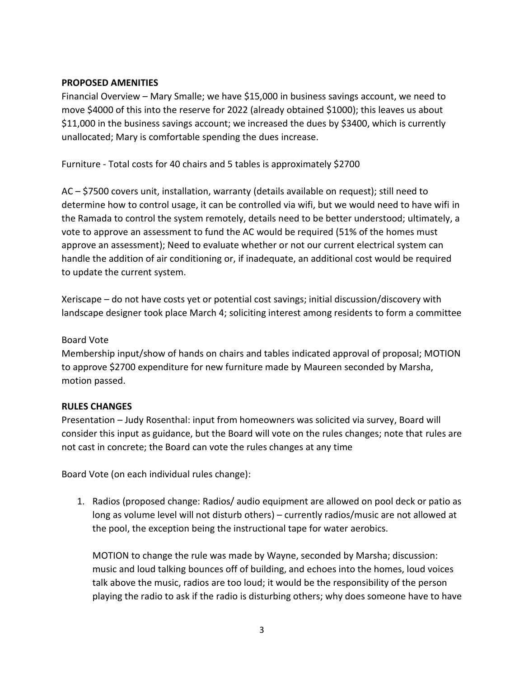## **PROPOSED AMENITIES**

Financial Overview – Mary Smalle; we have \$15,000 in business savings account, we need to move \$4000 of this into the reserve for 2022 (already obtained \$1000); this leaves us about \$11,000 in the business savings account; we increased the dues by \$3400, which is currently unallocated; Mary is comfortable spending the dues increase.

Furniture - Total costs for 40 chairs and 5 tables is approximately \$2700

AC – \$7500 covers unit, installation, warranty (details available on request); still need to determine how to control usage, it can be controlled via wifi, but we would need to have wifi in the Ramada to control the system remotely, details need to be better understood; ultimately, a vote to approve an assessment to fund the AC would be required (51% of the homes must approve an assessment); Need to evaluate whether or not our current electrical system can handle the addition of air conditioning or, if inadequate, an additional cost would be required to update the current system.

Xeriscape – do not have costs yet or potential cost savings; initial discussion/discovery with landscape designer took place March 4; soliciting interest among residents to form a committee

## Board Vote

Membership input/show of hands on chairs and tables indicated approval of proposal; MOTION to approve \$2700 expenditure for new furniture made by Maureen seconded by Marsha, motion passed.

## **RULES CHANGES**

Presentation – Judy Rosenthal: input from homeowners was solicited via survey, Board will consider this input as guidance, but the Board will vote on the rules changes; note that rules are not cast in concrete; the Board can vote the rules changes at any time

Board Vote (on each individual rules change):

1. Radios (proposed change: Radios/ audio equipment are allowed on pool deck or patio as long as volume level will not disturb others) – currently radios/music are not allowed at the pool, the exception being the instructional tape for water aerobics.

MOTION to change the rule was made by Wayne, seconded by Marsha; discussion: music and loud talking bounces off of building, and echoes into the homes, loud voices talk above the music, radios are too loud; it would be the responsibility of the person playing the radio to ask if the radio is disturbing others; why does someone have to have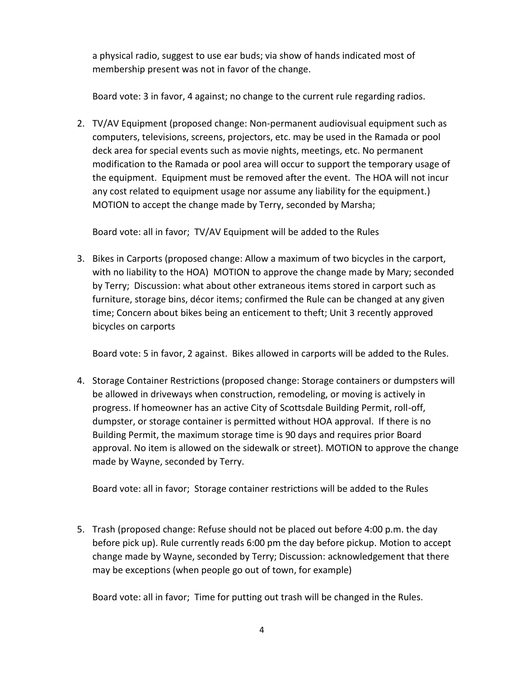a physical radio, suggest to use ear buds; via show of hands indicated most of membership present was not in favor of the change.

Board vote: 3 in favor, 4 against; no change to the current rule regarding radios.

2. TV/AV Equipment (proposed change: Non-permanent audiovisual equipment such as computers, televisions, screens, projectors, etc. may be used in the Ramada or pool deck area for special events such as movie nights, meetings, etc. No permanent modification to the Ramada or pool area will occur to support the temporary usage of the equipment. Equipment must be removed after the event. The HOA will not incur any cost related to equipment usage nor assume any liability for the equipment.) MOTION to accept the change made by Terry, seconded by Marsha;

Board vote: all in favor; TV/AV Equipment will be added to the Rules

3. Bikes in Carports (proposed change: Allow a maximum of two bicycles in the carport, with no liability to the HOA) MOTION to approve the change made by Mary; seconded by Terry; Discussion: what about other extraneous items stored in carport such as furniture, storage bins, décor items; confirmed the Rule can be changed at any given time; Concern about bikes being an enticement to theft; Unit 3 recently approved bicycles on carports

Board vote: 5 in favor, 2 against. Bikes allowed in carports will be added to the Rules.

4. Storage Container Restrictions (proposed change: Storage containers or dumpsters will be allowed in driveways when construction, remodeling, or moving is actively in progress. If homeowner has an active City of Scottsdale Building Permit, roll-off, dumpster, or storage container is permitted without HOA approval. If there is no Building Permit, the maximum storage time is 90 days and requires prior Board approval. No item is allowed on the sidewalk or street). MOTION to approve the change made by Wayne, seconded by Terry.

Board vote: all in favor; Storage container restrictions will be added to the Rules

5. Trash (proposed change: Refuse should not be placed out before 4:00 p.m. the day before pick up). Rule currently reads 6:00 pm the day before pickup. Motion to accept change made by Wayne, seconded by Terry; Discussion: acknowledgement that there may be exceptions (when people go out of town, for example)

Board vote: all in favor; Time for putting out trash will be changed in the Rules.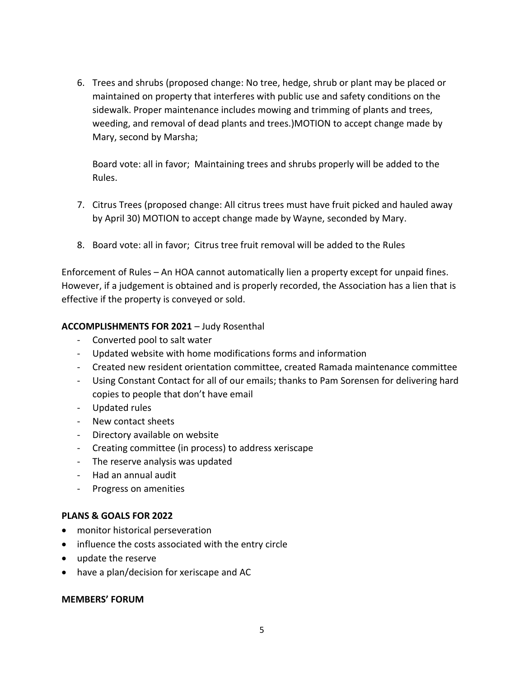6. Trees and shrubs (proposed change: No tree, hedge, shrub or plant may be placed or maintained on property that interferes with public use and safety conditions on the sidewalk. Proper maintenance includes mowing and trimming of plants and trees, weeding, and removal of dead plants and trees.)MOTION to accept change made by Mary, second by Marsha;

Board vote: all in favor; Maintaining trees and shrubs properly will be added to the Rules.

- 7. Citrus Trees (proposed change: All citrus trees must have fruit picked and hauled away by April 30) MOTION to accept change made by Wayne, seconded by Mary.
- 8. Board vote: all in favor; Citrus tree fruit removal will be added to the Rules

Enforcement of Rules – An HOA cannot automatically lien a property except for unpaid fines. However, if a judgement is obtained and is properly recorded, the Association has a lien that is effective if the property is conveyed or sold.

## **ACCOMPLISHMENTS FOR 2021** – Judy Rosenthal

- Converted pool to salt water
- Updated website with home modifications forms and information
- Created new resident orientation committee, created Ramada maintenance committee
- Using Constant Contact for all of our emails; thanks to Pam Sorensen for delivering hard copies to people that don't have email
- Updated rules
- New contact sheets
- Directory available on website
- Creating committee (in process) to address xeriscape
- The reserve analysis was updated
- Had an annual audit
- Progress on amenities

## **PLANS & GOALS FOR 2022**

- monitor historical perseveration
- influence the costs associated with the entry circle
- update the reserve
- have a plan/decision for xeriscape and AC

#### **MEMBERS' FORUM**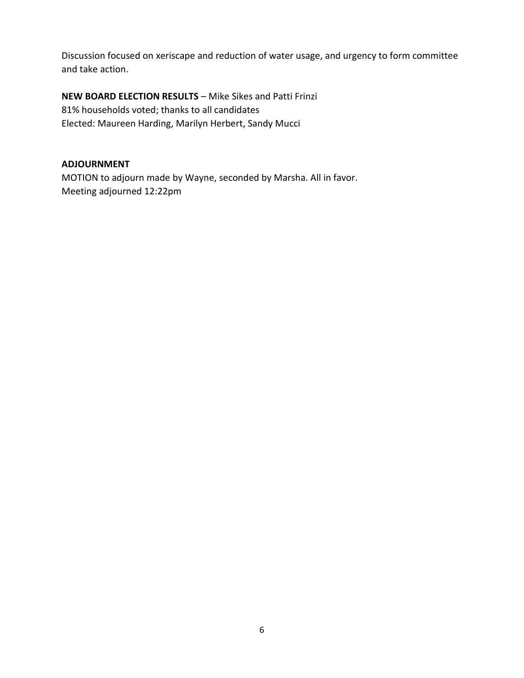Discussion focused on xeriscape and reduction of water usage, and urgency to form committee and take action.

**NEW BOARD ELECTION RESULTS** – Mike Sikes and Patti Frinzi 81% households voted; thanks to all candidates Elected: Maureen Harding, Marilyn Herbert, Sandy Mucci

## **ADJOURNMENT**

MOTION to adjourn made by Wayne, seconded by Marsha. All in favor. Meeting adjourned 12:22pm